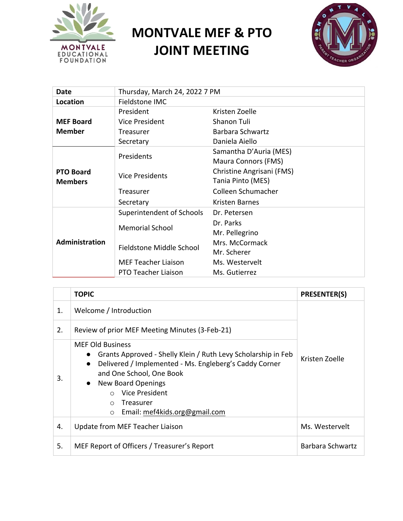

## **MONTVALE MEF & PTO JOINT MEETING**



| Date             | Thursday, March 24, 2022 7 PM |                           |  |
|------------------|-------------------------------|---------------------------|--|
| Location         | Fieldstone IMC                |                           |  |
|                  | President                     | Kristen Zoelle            |  |
| <b>MEF Board</b> | Vice President                | Shanon Tuli               |  |
| <b>Member</b>    | Treasurer                     | Barbara Schwartz          |  |
|                  | Secretary                     | Daniela Aiello            |  |
|                  | Presidents                    | Samantha D'Auria (MES)    |  |
|                  |                               | Maura Connors (FMS)       |  |
| <b>PTO Board</b> | <b>Vice Presidents</b>        | Christine Angrisani (FMS) |  |
| <b>Members</b>   |                               | Tania Pinto (MES)         |  |
|                  | Treasurer                     | Colleen Schumacher        |  |
|                  | Secretary                     | Kristen Barnes            |  |
|                  | Superintendent of Schools     | Dr. Petersen              |  |
|                  | <b>Memorial School</b>        | Dr. Parks                 |  |
|                  |                               | Mr. Pellegrino            |  |
| Administration   | Fieldstone Middle School      | Mrs. McCormack            |  |
|                  |                               | Mr. Scherer               |  |
|                  | <b>MEF Teacher Liaison</b>    | Ms. Westervelt            |  |
|                  | PTO Teacher Liaison           | Ms. Gutierrez             |  |

|    | <b>TOPIC</b>                                                                                                                                                                                                                                                                                                                               | <b>PRESENTER(S)</b> |  |
|----|--------------------------------------------------------------------------------------------------------------------------------------------------------------------------------------------------------------------------------------------------------------------------------------------------------------------------------------------|---------------------|--|
| 1. | Welcome / Introduction                                                                                                                                                                                                                                                                                                                     |                     |  |
| 2. | Review of prior MEF Meeting Minutes (3-Feb-21)                                                                                                                                                                                                                                                                                             |                     |  |
| 3. | <b>MEF Old Business</b><br>Grants Approved - Shelly Klein / Ruth Levy Scholarship in Feb<br>$\bullet$<br>Delivered / Implemented - Ms. Engleberg's Caddy Corner<br>$\bullet$<br>and One School, One Book<br><b>New Board Openings</b><br>$\bullet$<br>Vice President<br>Treasurer<br>$\bigcap$<br>Email: mef4kids.org@gmail.com<br>$\circ$ | Kristen Zoelle      |  |
| 4. | Update from MEF Teacher Liaison                                                                                                                                                                                                                                                                                                            | Ms. Westervelt      |  |
| 5. | MEF Report of Officers / Treasurer's Report                                                                                                                                                                                                                                                                                                | Barbara Schwartz    |  |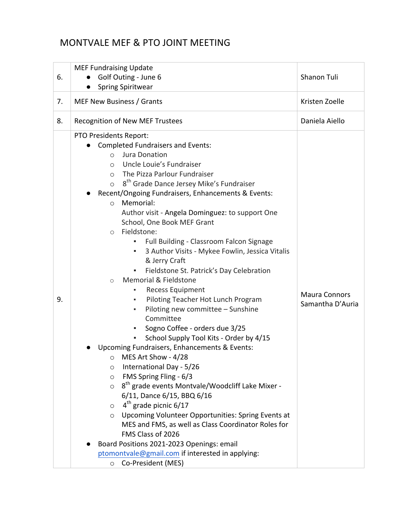## MONTVALE MEF & PTO JOINT MEETING

|    | <b>MEF Fundraising Update</b>                                                                                                                                                                                                                                                                                                                                                                                                                                                                                                                                                                      |                                          |
|----|----------------------------------------------------------------------------------------------------------------------------------------------------------------------------------------------------------------------------------------------------------------------------------------------------------------------------------------------------------------------------------------------------------------------------------------------------------------------------------------------------------------------------------------------------------------------------------------------------|------------------------------------------|
| 6. | Golf Outing - June 6                                                                                                                                                                                                                                                                                                                                                                                                                                                                                                                                                                               | Shanon Tuli                              |
|    | <b>Spring Spiritwear</b>                                                                                                                                                                                                                                                                                                                                                                                                                                                                                                                                                                           |                                          |
| 7. | MEF New Business / Grants                                                                                                                                                                                                                                                                                                                                                                                                                                                                                                                                                                          | Kristen Zoelle                           |
| 8. | <b>Recognition of New MEF Trustees</b>                                                                                                                                                                                                                                                                                                                                                                                                                                                                                                                                                             | Daniela Aiello                           |
|    | PTO Presidents Report:<br><b>Completed Fundraisers and Events:</b><br>Jura Donation<br>$\circ$<br>Uncle Louie's Fundraiser<br>$\circ$<br>The Pizza Parlour Fundraiser<br>$\circ$<br>8 <sup>th</sup> Grade Dance Jersey Mike's Fundraiser<br>$\circ$<br>Recent/Ongoing Fundraisers, Enhancements & Events:<br>Memorial:<br>$\circ$<br>Author visit - Angela Dominguez: to support One<br>School, One Book MEF Grant<br>Fieldstone:<br>$\circ$<br>Full Building - Classroom Falcon Signage<br>٠<br>3 Author Visits - Mykee Fowlin, Jessica Vitalis<br>٠                                              |                                          |
| 9. | & Jerry Craft<br>Fieldstone St. Patrick's Day Celebration<br>Memorial & Fieldstone<br>$\circ$<br><b>Recess Equipment</b><br>Piloting Teacher Hot Lunch Program<br>٠<br>Piloting new committee - Sunshine<br>٠<br>Committee<br>Sogno Coffee - orders due 3/25<br>School Supply Tool Kits - Order by 4/15<br>٠                                                                                                                                                                                                                                                                                       | <b>Maura Connors</b><br>Samantha D'Auria |
|    | Upcoming Fundraisers, Enhancements & Events:<br>MES Art Show - 4/28<br>$\circ$<br>International Day - 5/26<br>$\circ$<br>FMS Spring Fling - 6/3<br>$\circ$<br>8 <sup>th</sup> grade events Montvale/Woodcliff Lake Mixer -<br>$\circ$<br>6/11, Dance 6/15, BBQ 6/16<br>4 <sup>th</sup> grade picnic 6/17<br>$\circ$<br>Upcoming Volunteer Opportunities: Spring Events at<br>$\circ$<br>MES and FMS, as well as Class Coordinator Roles for<br>FMS Class of 2026<br>Board Positions 2021-2023 Openings: email<br>ptomontvale@gmail.com if interested in applying:<br>Co-President (MES)<br>$\circ$ |                                          |